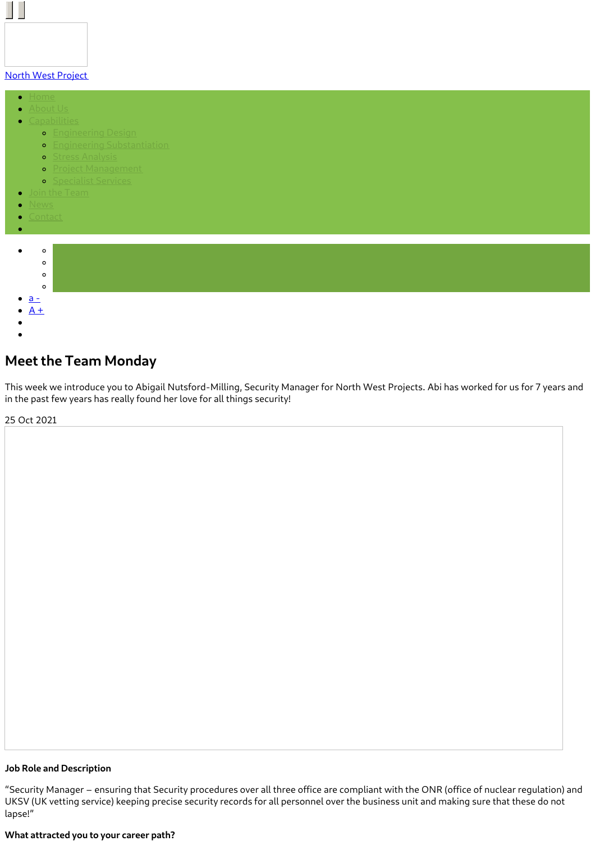# North West [Project](https://www.northwestprojects.co.uk/)

 $\bullet$ 

 $\Box$ 

- 
- - **o** [Engineering](https://www.northwestprojects.co.uk/capabilities/engineering-design/) Design
		- **•** Engineering [Substantiation](https://www.northwestprojects.co.uk/capabilities/engineering-substantiation/)
		- **o** Stress [Analysis](https://www.northwestprojects.co.uk/capabilities/stress-analysis/)
		- **•** Project [Management](https://www.northwestprojects.co.uk/capabilities/project-management/)
		- **o** [Specialist](https://www.northwestprojects.co.uk/capabilities/specialist-services/) Services
	-
- 
- 



# **Meet the Team Monday**

This week we introduce you to Abigail Nutsford-Milling, Security Manager for North West Projects. Abi has worked for us for 7 years and in the past few years has really found her love for all things security!

25 Oct 2021

#### **Job Role and Description**

"Security Manager – ensuring that Security procedures over all three office are compliant with the ONR (office of nuclear regulation) and UKSV (UK vetting service) keeping precise security records for all personnel over the business unit and making sure that these do not lapse!"

#### **What attracted you to your career path?**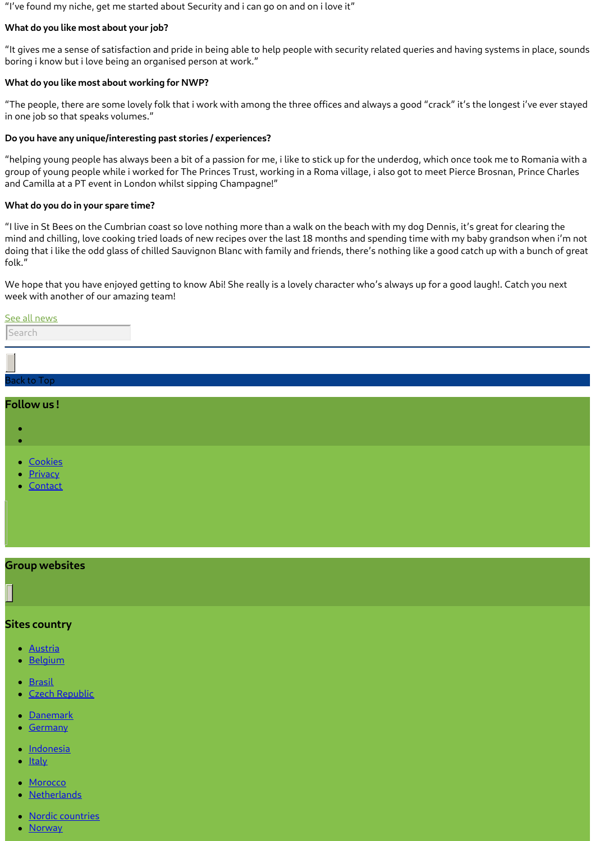"I've found my niche, get me started about Security and i can go on and on i love it"

# **What do you like most about your job?**

"It gives me a sense of satisfaction and pride in being able to help people with security related queries and having systems in place, sounds boring i know but i love being an organised person at work."

#### **What do you like most about working for NWP?**

"The people, there are some lovely folk that i work with among the three offices and always a good "crack" it's the longest i've ever stayed in one job so that speaks volumes."

### **Do you have any unique/interesting past stories / experiences?**

"helping young people has always been a bit of a passion for me, i like to stick up for the underdog, which once took me to Romania with a group of young people while i worked for The Princes Trust, working in a Roma village, i also got to meet Pierce Brosnan, Prince Charles and Camilla at a PT event in London whilst sipping Champagne!"

#### **What do you do in your spare time?**

"I live in St Bees on the Cumbrian coast so love nothing more than a walk on the beach with my dog Dennis, it's great for clearing the mind and chilling, love cooking tried loads of new recipes over the last 18 months and spending time with my baby grandson when i'm not doing that i like the odd glass of chilled Sauvignon Blanc with family and friends, there's nothing like a good catch up with a bunch of great folk."

We hope that you have enjoyed getting to know Abi! She really is a lovely character who's always up for a good laugh!. Catch you next week with another of our amazing team!

#### See all [news](https://www.northwestprojects.co.uk/news/)

Search

| r.                                   |  |  |  |
|--------------------------------------|--|--|--|
| __<br>Back to Top                    |  |  |  |
| Follow us!                           |  |  |  |
|                                      |  |  |  |
|                                      |  |  |  |
| • <u>Cookies</u><br>• <u>Privacy</u> |  |  |  |

• [Contact](https://www.northwestprojects.co.uk/contact/)

# **Group websites**

# **Sites country**

- [Austria](http://www.vinci-energies.at/)
- **[Belgium](http://www.vinci-energies.be/)**
- **[Brasil](http://www.vinci-energies.com.br/en/home/)**
- Czech [Republic](http://www.vinci-energies.cz/)
- [Danemark](http://www.vinci-energies.dk/)
- **[Germany](http://www.vinci-energies.de/)**
- · [Indonesia](http://www.vinci-energies.co.id/)
- **[Italy](http://www.vinci-energies.it/)**
- [Morocco](http://www.vinci-energies.ma/)
- **[Netherlands](http://www.vinci-energies.nl/)**
- Nordic [countries](http://www.vinci-energies.dk/)
- **[Norway](http://www.vinci-energies.no/)**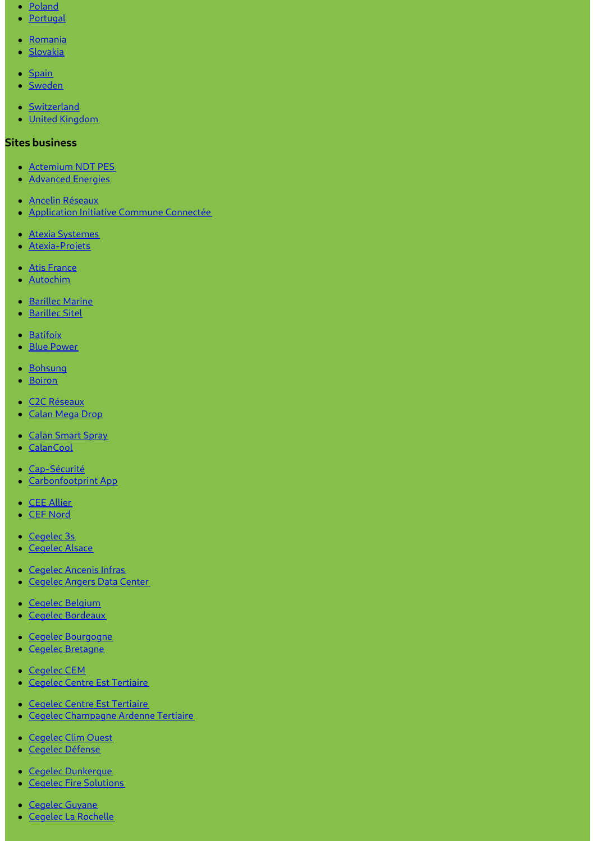- [Poland](http://www.vinci-energies.pl)
- [Portugal](http://www.vinci-energies.pt/)
- [Romania](http://www.vinci-energies.ro/)
- [Slovakia](http://www.vinci-energies.sk/)
- $\bullet$  [Spain](http://www.vinci-energies.es/)
- [Sweden](http://www.vinci-energies.se/)
- [Switzerland](http://www.vinci-energies.ch/)
- United [Kingdom](http://www.vinci-energies.co.uk/)

# **Sites business**

- [Actemium](https://www.cegelec-ndt-pes.com) NDT PES
- **[Advanced](http://www.advanced-energies.com/) Energies**
- Ancelin [Réseaux](http://www.ancelinreseaux.fr/)
- [Application](https://www.applications-icc.fr) Initiative Commune Connectée
- Atexia [Systemes](https://www.atexia-systemes.fr/)
- [Atexia-Projets](https://www.atexia-projets.fr/)
- Atis [France](https://www.atis-france.fr)
- [Autochim](http://www.autochim.com/fr/)
- [Barillec](http://www.barillec-marine.com/) Marine
- [Barillec](http://www.barillec-sitel.fr) Sitel
- [Batifoix](https://www.batifoix.fr)
- Blue [Power](https://www.blue-power.it/)
- [Bohsung](https://www.bohsung.de/)
- [Boiron](https://www.sas-boiron.com)
- C2C [Réseaux](https://www.c2c-reseaux.fr)
- [Calan](https://www.calanmegadrop.de/) Mega Drop
- Calan [Smart](https://www.calansmartspray.de/) Spray
- [CalanCool](https://www.calancool.de/)
- [Cap-Sécurité](https://www.capsecurite.com/)
- [Carbonfootprint](https://www.carbonfootprintapp.de/) App
- CEE [Allier](http://www.ceeallier.fr/)
- CEF [Nord](https://www.cefnord.com)
- [Cegelec](http://www.cegelec3s.fr) 3s
- [Cegelec](https://www.cegelec-alsace.com) Alsace
- [Cegelec](https://www.cegelec-ancenis-infras.fr) Ancenis Infras
- [Cegelec](http://www.cegelec-angers-data-center.fr/) Angers Data Center
- Cegelec [Belgium](http://www.cegelec.be/)
- Cegelec [Bordeaux](https://www.cegelec-bordeaux.fr)
- Cegelec [Bourgogne](https://www.cegelec-bourgogne.com)
- Cegelec [Bretagne](http://www.cegelec-bretagne.fr/fr/)
- [Cegelec](https://www.cegelec-cem.fr/) CEM
- **Cegelec Centre Est [Tertiaire](http://www.cegelec-lyon.com/)**
- Cegelec Centre Est [Tertiaire](https://www.cegelec-centre-est-tertiaire.fr/)
- Cegelec [Champagne](https://www.cegelec-champagne-ardenne-tertiaire.com) Ardenne Tertiaire
- [Cegelec](http://www.cegelec-clim-ouest.fr/fr/) Clim Ouest
- Cegelec [Défense](http://www.cegelec-defense.com)
- Cegelec [Dunkerque](https://www.cegelec-dunkerque.com)
- Cegelec Fire [Solutions](http://www.cegelec.nl)
- [Cegelec](https://www.cegelec-guyane.fr) Guyane
- Cegelec La [Rochelle](https://www.cegelec-la-rochelle.fr)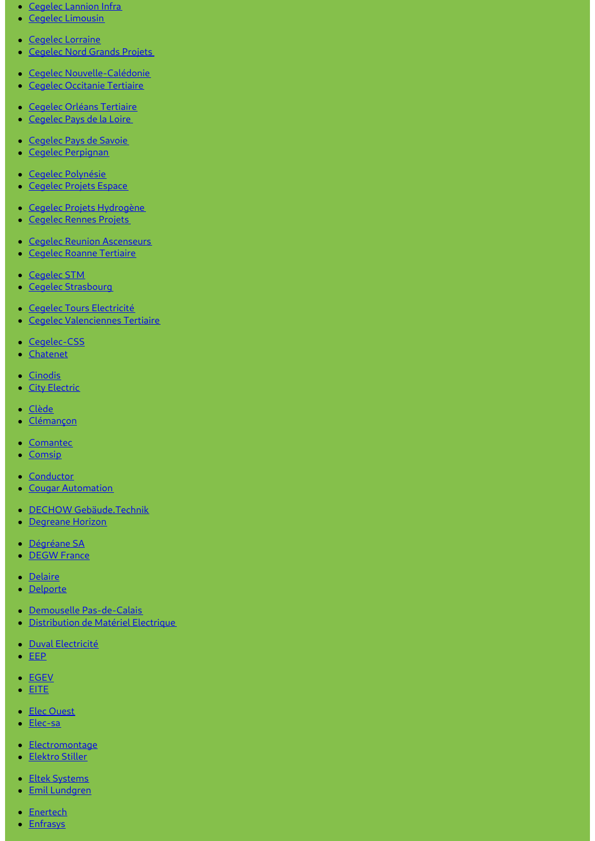- Cegelec [Lannion](https://www.cegelec-lannion-infras.fr/) Infra
- Cegelec [Limousin](http://www.cegelec-limousin.fr/)
- Cegelec [Lorraine](https://www.cegelec-lorraine.com)
- [Cegelec](http://www.cegelec-nord-grands-projets.com) Nord Grands Projets
- Cegelec [Nouvelle-Calédonie](https://www.cegelec.nc)
- Cegelec [Occitanie](https://www.cegelec-occitanie-tertiaire.fr/) Tertiaire
- Cegelec Orléans [Tertiaire](https://cegelec-orleans-tertiaire.fr)
- [Cegelec](http://www.cegelec-pays-de-la-loire.fr) Pays de la Loire
- [Cegelec](https://www.cegelec-pays-de-savoie.fr/) Pays de Savoie
- Cegelec [Perpignan](https://www.cegelec-perpignan.com)
- Cegelec [Polynésie](http://www.cegelec-polynesie.com)
- [Cegelec](http://www.cegelec-projets-espace.com/) Projets Espace
- Cegelec Projets [Hydrogène](https://www.cegelec-projets-hydrogene.fr)
- **[Cegelec](https://www.cegelec-rennes-projets.fr/) Rennes Projets**
- Cegelec Reunion [Ascenseurs](https://www.cegelec-reunion-ascenseurs.com)
- **Cegelec Roanne [Tertiaire](https://www.cegelec-roanne-tertiaire.fr/)**
- [Cegelec](https://www.cegelec-stm.fr/) STM
- Cegelec [Strasbourg](http://www.cegelec-strasbourg.fr/)
- · Cegelec Tours [Electricité](https://www.cegelec-tours-electricite.fr/)
- Cegelec [Valenciennes](http://www.cegelec-valenciennes-tertiaire.com/) Tertiaire
- [Cegelec-CSS](https://www.cegelec-css.com/)
- [Chatenet](https://www.chatenet-sas.fr)
- [Cinodis](https://www.cinodis.fr/)
- **City [Electric](https://www.city-electric.lu)**
- [Clède](https://www.clede.fr)
- [Clémançon](https://www.clemancon.fr)
- [Comantec](https://www.comantec.be/)
- [Comsip](http://www.comsip.fr/en/)
- [Conductor](https://www.conductor.as/)
- Cougar [Automation](https://www.cougar-automation.com/)
- DECHOW [Gebäude.Technik](https://www.dechow-dl-gmbh.de/)
- [Degreane](http://www.degreane-horizon.fr) Horizon
- [Dégréane](https://www.degreane.fr/) SA
- **[DEGW](https://www.degwfrance.com/) France**
- **•** [Delaire](https://www.sas-delaire.fr/)
- [Delporte](https://www.delporte.fr/)
- Demouselle [Pas-de-Calais](https://www.demouselle-pas-de-calais.fr)
- [Distribution](https://www.dme-energies.com) de Matériel Electrique
- · Duval [Electricité](https://duval-electricite.fr/)
- $\cdot$  [EEP](https://www.eep.fr)
- [EGEV](https://www.egev.fr/)
- [EITE](https://www.eite-entreprises.fr/)
- Elec [Ouest](http://www.elec-ouest.fr)
- [Elec-sa](https://www.elec-sa.fr/)
- [Electromontage](https://www.electromontage.fr/)
- [Elektro](https://www.elektro-stiller.de) Stiller
- **Eltek [Systems](https://www.eltek-systems.com/)**
- Emil [Lundgren](https://www.emillundgren.se/)
- [Enertech](https://www.enertech-eut.de/)
- **[Enfrasys](https://www.enfrasys.fr/)**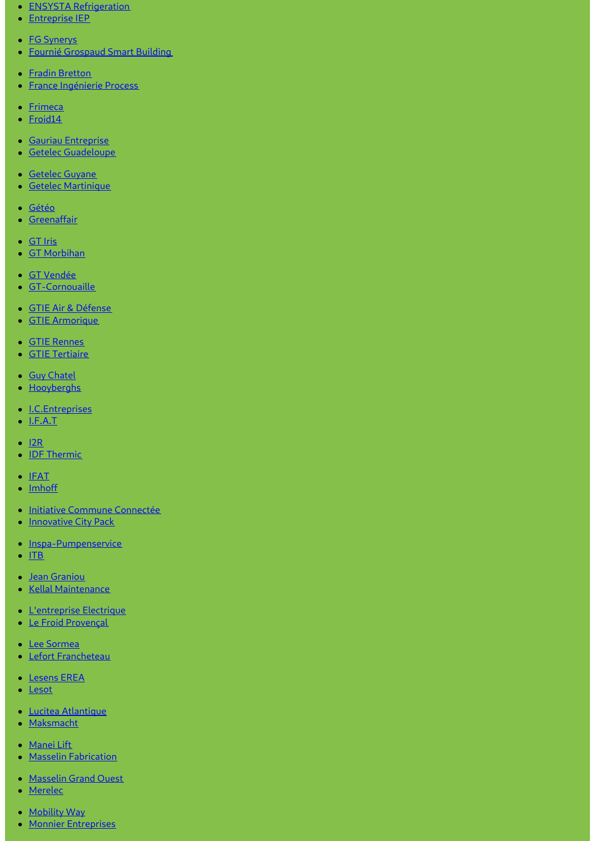- **ENSYSTA [Refrigeration](http://www.ensysta.be/nl/)**
- [Entreprise](http://www.i-e-p.fr) IEP
- **FG [Synerys](https://www.fgsynerys.fr)**
- Fournié [Grospaud](https://www.fgtlse.fr) Smart Building
- Fradin [Bretton](http://www.fradin-bretton.fr/)
- **France [Ingénierie](https://www.france-ingenierie-process.com/) Process**
- [Frimeca](https://www.frimeca.com/)
- [Froid14](http://www.froid14.com/)
- Gauriau [Entreprise](http://www.gauriau-entreprise.fr/)
- Getelec [Guadeloupe](http://www.getelec-guadeloupe.fr/)
- [Getelec](https://www.getelec-guyane.fr/) Guyane
- Getelec [Martinique](https://www.getelec-martinique.fr)
- [Gétéo](https://www.geteo.fr/)
- **[Greenaffair](https://www.greenaffair.com)**
- [GT](http://www.gt-iris.fr/) Iris
- GT [Morbihan](https://www.gt-morbihan.com)
- GT [Vendée](http://www.gt-vendee.fr/)
- [GT-Cornouaille](https://www.gt-cornouaille.fr/)
- GTIE Air & [Défense](https://www.gtie-airetdefense.fr)
- GTIE [Armorique](https://www.gtie-armorique.com)
- GTIE [Rennes](http://www.gtie-rennes.com/)
- GTIE [Tertiaire](https://www.gtie-tertiaire.com/)
- Guy [Chatel](http://guy-chatel.fr/)
- [Hooyberghs](https://www.hooyberghs.be/)
- [I.C.Entreprises](http://www.ic-entreprises.com/)
- $\bullet$  [I.F.A.T](https://www.ifat.fr)
- $\cdot$  [I2R](http://www.i2r-ingenierie.com/)
- **IDF [Thermic](http://www.idf-thermic.com/)**
- $\bullet$  [IFAT](https://www.ifat.fr/)
- [Imhoff](https://www.imhoff.fr)
- Initiative Commune [Connectée](https://www.initiativecommuneconnectee.fr)
- **[Innovative](https://www.icpack.fr) City Pack**
- [Inspa-Pumpenservice](https://www.inspa-pumpenservice.de/)
- $\bullet$  [ITB](https:)
- Jean [Graniou](https://www.jeangraniou.fr/)
- Kellal [Maintenance](https://www.kellal-maintenance.fr/)
- **[L'entreprise](http://www.lentreprise-electrique.fr/) Electrique**
- Le Froid [Provençal](https://www.lefroidprovencal.fr)
- Lee [Sormea](https://www.lee-sormea.com)
- **Lefort [Francheteau](https://www.lefortfrancheteau.com/)**
- [Lesens](https://www.lesens-erea.fr/) EREA
- [Lesot](https://www.lesot.fr)
- Lucitea [Atlantique](http://www.lucitea-atlantique.fr)
- [Maksmacht](https://www.maksmacht.de/)
- [Manei](https://www.manei-lift.fr) Lift
- Masselin [Fabrication](http://masselin-fabrication.fr/)
- [Masselin](http://www.masselin-grand-ouest.fr/) Grand Ouest
- [Merelec](https://www.merelec.fr)
- [Mobility](https://www.mobility-way.com) Way
- Monnier [Entreprises](http://www.monnier-energies.com/)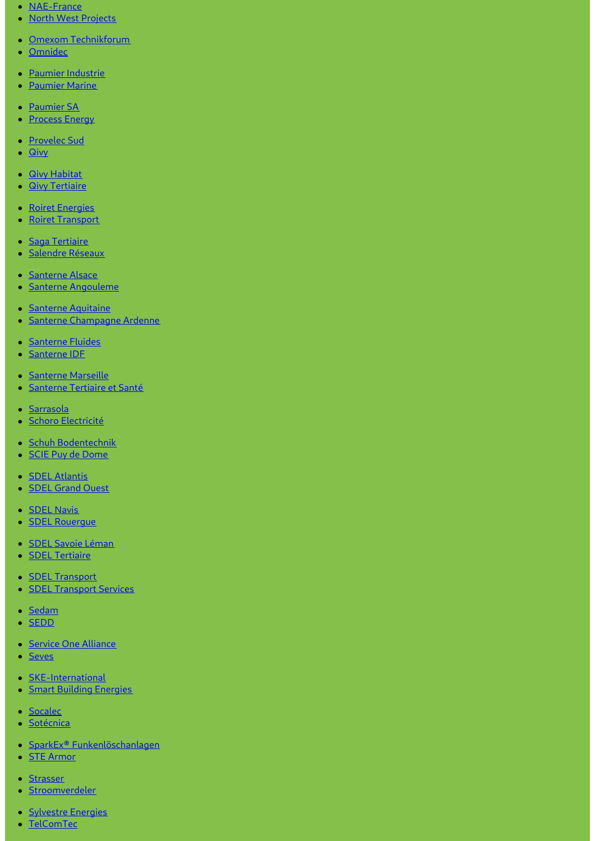- [NAE-France](https://www.nae-france.com/)
- North West [Projects](https://www.northwestprojects.co.uk/)
- Omexom [Technikforum](https://www.omexom-technikforum.de)
- [Omnidec](https://www.omnidec.com/)
- Paumier [Industrie](https://www.paumier-industrie.fr)
- [Paumier](https://www.paumier-marine.fr) Marine
- [Paumier](https://www.paumier-sa.fr) SA
- [Process](http://www.process-energy.fr) Energy
- [Provelec](https://www.provelec-sud.fr) Sud
- [Qivy](http://www.qivy.fr/fr/)
- **Qivy [Habitat](https://www.qivy-habitat.fr)**
- **Qivy [Tertiaire](https://www.qivy-tertiaire.fr)**
- Roiret [Energies](https://www.roiret-energies.com/)
- Roiret [Transport](http://www.roiret-transport.fr/)
- Saga [Tertiaire](http://www.saga-tertiaire.fr/)
- · [Salendre](https://www.salendre.com/) Réseaux
- [Santerne](https://www.santerne-alsace.fr) Alsace
- Santerne [Angouleme](http://www.santerne-angouleme.fr/)
- Santerne [Aquitaine](https://www.santerne-aquitaine.fr/)
- · Santerne [Champagne](https://www.santerne-champagne-ardenne.fr) Ardenne
- [Santerne](https://www.santerne-fluides.fr) Fluides
- [Santerne](https://www.santerne-idf.fr) IDF
- [Santerne](https://www.santerne-marseille.com/) Marseille
- **[Santerne](https://www.santerne-tertiaire-sante.fr) Tertiaire et Santé**
- · [Sarrasola](https://www.sarrasola.com/)
- · Schoro [Electricité](http://www.schoro.fr/site/presentation.htm)
- Schuh [Bodentechnik](https://www.schuh-bodentechnik.de)
- SCIE Puy de [Dome](http://www.scie-pdd.com/)
- **SDEL [Atlantis](https://www.sdel-atlantis.fr/)**
- **SDEL [Grand](http://www.sdel-grand-ouest.fr/) Ouest**
- **[SDEL](https://www.sdel-navis.fr) Navis**
- **SDEL Rouerque**
- · SDEL Savoie [Léman](https://www.sdel-savoie-leman.fr/)
- **SDEL [Tertiaire](https://www.sdel-tertiaire.fr)**
- **SDEL [Transport](https://www.sdel-transport.fr)**
- **SDEL [Transport](https://www.sdel-transport-services.fr/) Services**
- [Sedam](https://www.sedam-champagne.com)
- [SEDD](https://www.sedd.fr)
- Service One [Alliance](http://www.serviceonealliance.com/)
- [Seves](https://www.seves.fr)
- **[SKE-International](https://www.ske-international.com/)**
- **Smart Building [Energies](http://www.smart-building-energies.com/fr/)**
- [Socalec](http://www.socalec.fr/)
- · [Sotécnica](https://www.sotecnica.pt/pt)
- SparkEx® [Funkenlöschanlagen](https://www.funken-loeschanlage.de/)
- **STE [Armor](https://www.ste-armor.fr/fr/)**
- [Strasser](https://www.strasser.fr/)
- **[Stroomverdeler](https://www.stroomverdeler.be/)**
- [Sylvestre](http://www.s-energies.fr/) Energies
- [TelComTec](https://telcomtec.fr)